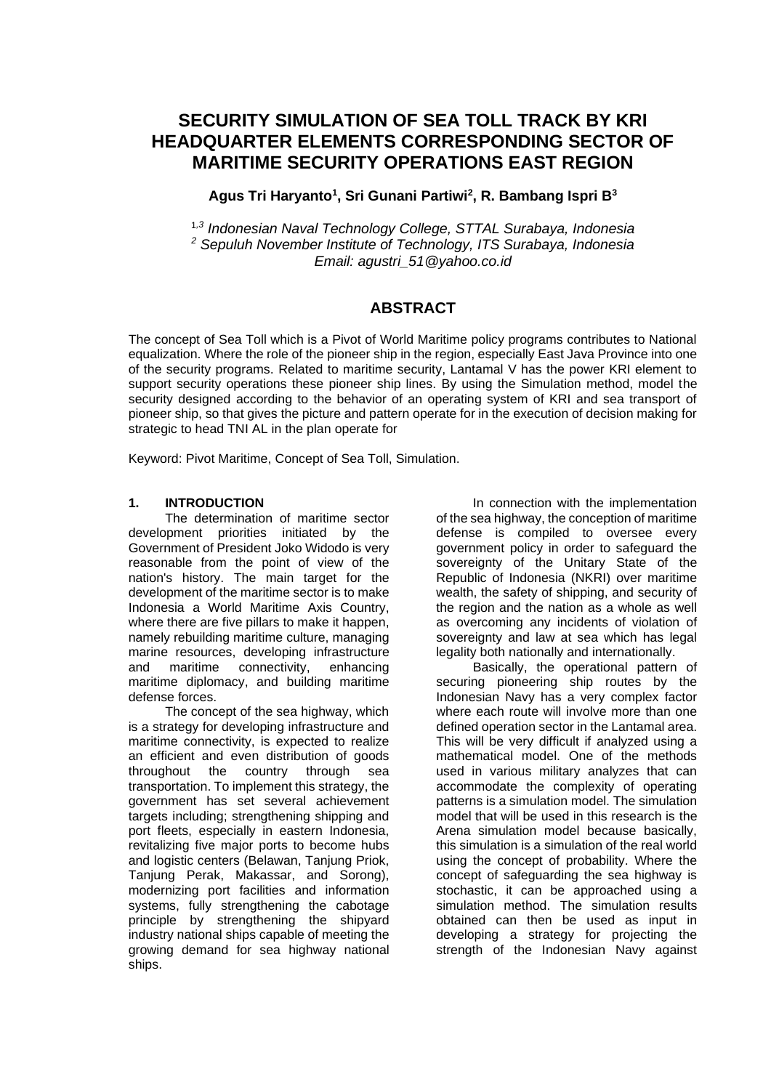# **SECURITY SIMULATION OF SEA TOLL TRACK BY KRI HEADQUARTER ELEMENTS CORRESPONDING SECTOR OF MARITIME SECURITY OPERATIONS EAST REGION**

**Agus Tri Haryanto<sup>1</sup> , Sri Gunani Partiwi<sup>2</sup> , R. Bambang Ispri B<sup>3</sup>**

1*,3 Indonesian Naval Technology College, STTAL Surabaya, Indonesia <sup>2</sup> Sepuluh November Institute of Technology, ITS Surabaya, Indonesia Email: agustri\_51@yahoo.co.id*

# **ABSTRACT**

The concept of Sea Toll which is a Pivot of World Maritime policy programs contributes to National equalization. Where the role of the pioneer ship in the region, especially East Java Province into one of the security programs. Related to maritime security, Lantamal V has the power KRI element to support security operations these pioneer ship lines. By using the Simulation method, model the security designed according to the behavior of an operating system of KRI and sea transport of pioneer ship, so that gives the picture and pattern operate for in the execution of decision making for strategic to head TNI AL in the plan operate for

Keyword: Pivot Maritime, Concept of Sea Toll, Simulation.

#### **1. INTRODUCTION**

The determination of maritime sector development priorities initiated by the Government of President Joko Widodo is very reasonable from the point of view of the nation's history. The main target for the development of the maritime sector is to make Indonesia a World Maritime Axis Country, where there are five pillars to make it happen, namely rebuilding maritime culture, managing marine resources, developing infrastructure and maritime connectivity, enhancing maritime diplomacy, and building maritime defense forces.

The concept of the sea highway, which is a strategy for developing infrastructure and maritime connectivity, is expected to realize an efficient and even distribution of goods throughout the country through sea transportation. To implement this strategy, the government has set several achievement targets including; strengthening shipping and port fleets, especially in eastern Indonesia, revitalizing five major ports to become hubs and logistic centers (Belawan, Tanjung Priok, Tanjung Perak, Makassar, and Sorong), modernizing port facilities and information systems, fully strengthening the cabotage principle by strengthening the shipyard industry national ships capable of meeting the growing demand for sea highway national ships.

In connection with the implementation of the sea highway, the conception of maritime defense is compiled to oversee every government policy in order to safeguard the sovereignty of the Unitary State of the Republic of Indonesia (NKRI) over maritime wealth, the safety of shipping, and security of the region and the nation as a whole as well as overcoming any incidents of violation of sovereignty and law at sea which has legal legality both nationally and internationally.

Basically, the operational pattern of securing pioneering ship routes by the Indonesian Navy has a very complex factor where each route will involve more than one defined operation sector in the Lantamal area. This will be very difficult if analyzed using a mathematical model. One of the methods used in various military analyzes that can accommodate the complexity of operating patterns is a simulation model. The simulation model that will be used in this research is the Arena simulation model because basically, this simulation is a simulation of the real world using the concept of probability. Where the concept of safeguarding the sea highway is stochastic, it can be approached using a simulation method. The simulation results obtained can then be used as input in developing a strategy for projecting the strength of the Indonesian Navy against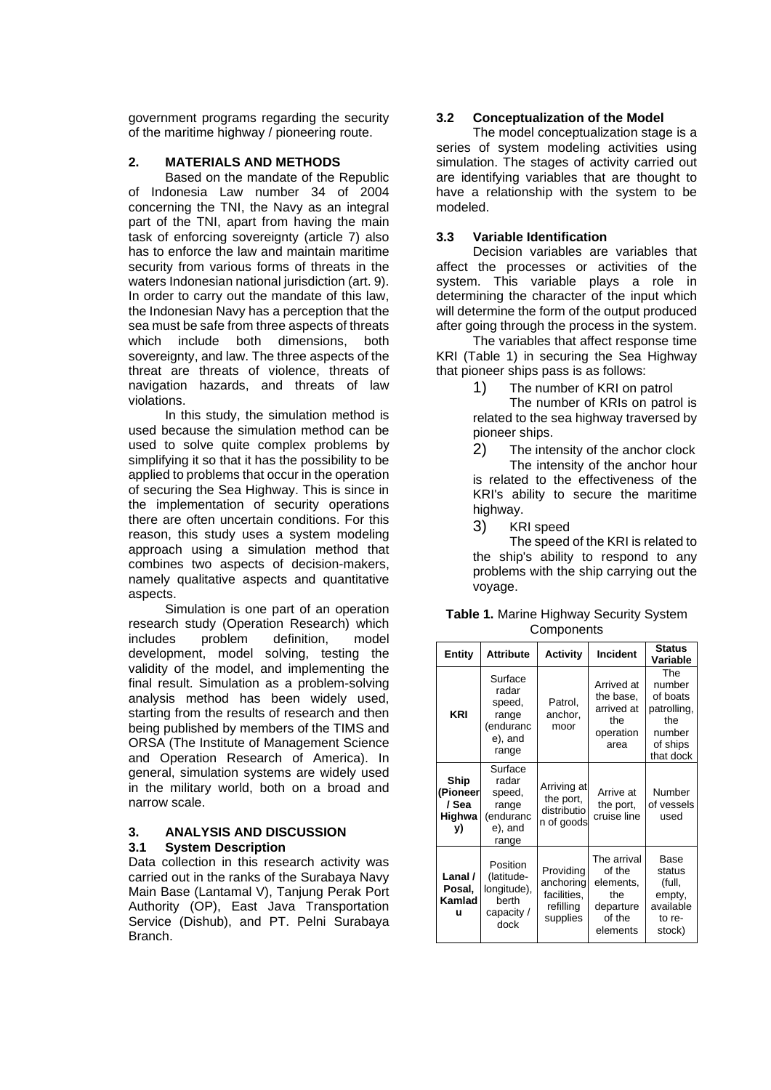government programs regarding the security of the maritime highway / pioneering route.

### **2. MATERIALS AND METHODS**

Based on the mandate of the Republic of Indonesia Law number 34 of 2004 concerning the TNI, the Navy as an integral part of the TNI, apart from having the main task of enforcing sovereignty (article 7) also has to enforce the law and maintain maritime security from various forms of threats in the waters Indonesian national jurisdiction (art. 9). In order to carry out the mandate of this law, the Indonesian Navy has a perception that the sea must be safe from three aspects of threats which include both dimensions, both sovereignty, and law. The three aspects of the threat are threats of violence, threats of navigation hazards, and threats of law violations.

In this study, the simulation method is used because the simulation method can be used to solve quite complex problems by simplifying it so that it has the possibility to be applied to problems that occur in the operation of securing the Sea Highway. This is since in the implementation of security operations there are often uncertain conditions. For this reason, this study uses a system modeling approach using a simulation method that combines two aspects of decision-makers, namely qualitative aspects and quantitative aspects.

Simulation is one part of an operation research study (Operation Research) which includes problem definition, model development, model solving, testing the validity of the model, and implementing the final result. Simulation as a problem-solving analysis method has been widely used, starting from the results of research and then being published by members of the TIMS and ORSA (The Institute of Management Science and Operation Research of America). In general, simulation systems are widely used in the military world, both on a broad and narrow scale.

#### **3. ANALYSIS AND DISCUSSION 3.1 System Description**

Data collection in this research activity was carried out in the ranks of the Surabaya Navy Main Base (Lantamal V), Tanjung Perak Port Authority (OP), East Java Transportation Service (Dishub), and PT. Pelni Surabaya Branch.

# **3.2 Conceptualization of the Model**

The model conceptualization stage is a series of system modeling activities using simulation. The stages of activity carried out are identifying variables that are thought to have a relationship with the system to be modeled.

## **3.3 Variable Identification**

Decision variables are variables that affect the processes or activities of the system. This variable plays a role in determining the character of the input which will determine the form of the output produced after going through the process in the system.

The variables that affect response time KRI (Table 1) in securing the Sea Highway that pioneer ships pass is as follows:

1) The number of KRI on patrol

The number of KRIs on patrol is related to the sea highway traversed by pioneer ships.

2) The intensity of the anchor clock The intensity of the anchor hour is related to the effectiveness of the KRI's ability to secure the maritime highway.

3) KRI speed

The speed of the KRI is related to the ship's ability to respond to any problems with the ship carrying out the voyage.

| ------------              |                                                                      |                                         |                                                                   |                                                                                    |
|---------------------------|----------------------------------------------------------------------|-----------------------------------------|-------------------------------------------------------------------|------------------------------------------------------------------------------------|
| <b>Entity</b>             | <b>Attribute</b>                                                     | <b>Activity</b>                         | <b>Incident</b>                                                   | <b>Status</b><br>Variable                                                          |
| <b>KRI</b>                | Surface<br>radar<br>speed,<br>range<br>(enduranc<br>e), and<br>range | Patrol.<br>anchor,<br>moor              | Arrived at<br>the base.<br>arrived at<br>the<br>operation<br>area | The<br>number<br>of boats<br>patrolling.<br>the<br>number<br>of ships<br>that dock |
| Ship<br>(Pioneer<br>/ Sea | Surface<br>radar<br>speed,<br>range                                  | Arriving at<br>the port,<br>distributio | Arrive at<br>the port.                                            | Number<br>of vessels                                                               |

| <b>Table 1. Marine Highway Security System</b> |
|------------------------------------------------|
| Components                                     |

| <b>KRI</b>                                | radar<br>speed,<br>range<br>(enduranc<br>e), and<br>range            | Patrol.<br>anchor,<br>moor                                     | Allived at<br>the base,<br>arrived at<br>the<br>operation<br>area            | number<br>of boats<br>patrolling.<br>the<br>number<br>of ships<br>that dock |
|-------------------------------------------|----------------------------------------------------------------------|----------------------------------------------------------------|------------------------------------------------------------------------------|-----------------------------------------------------------------------------|
| Ship<br>(Pioneer<br>/ Sea<br>Highwa<br>y) | Surface<br>radar<br>speed,<br>range<br>(enduranc<br>e), and<br>range | Arriving at<br>the port,<br>distributio<br>n of goods          | Arrive at<br>the port,<br>cruise line                                        | Number<br>of vessels<br>used                                                |
| Lanal /<br>Posal,<br>Kamlad<br>u          | Position<br>(latitude-<br>longitude),<br>berth<br>capacity /<br>dock | Providing<br>anchoring<br>facilities,<br>refilling<br>supplies | The arrival<br>of the<br>elements,<br>the<br>departure<br>of the<br>elements | Base<br>status<br>(full,<br>empty,<br>available<br>to re-<br>stock)         |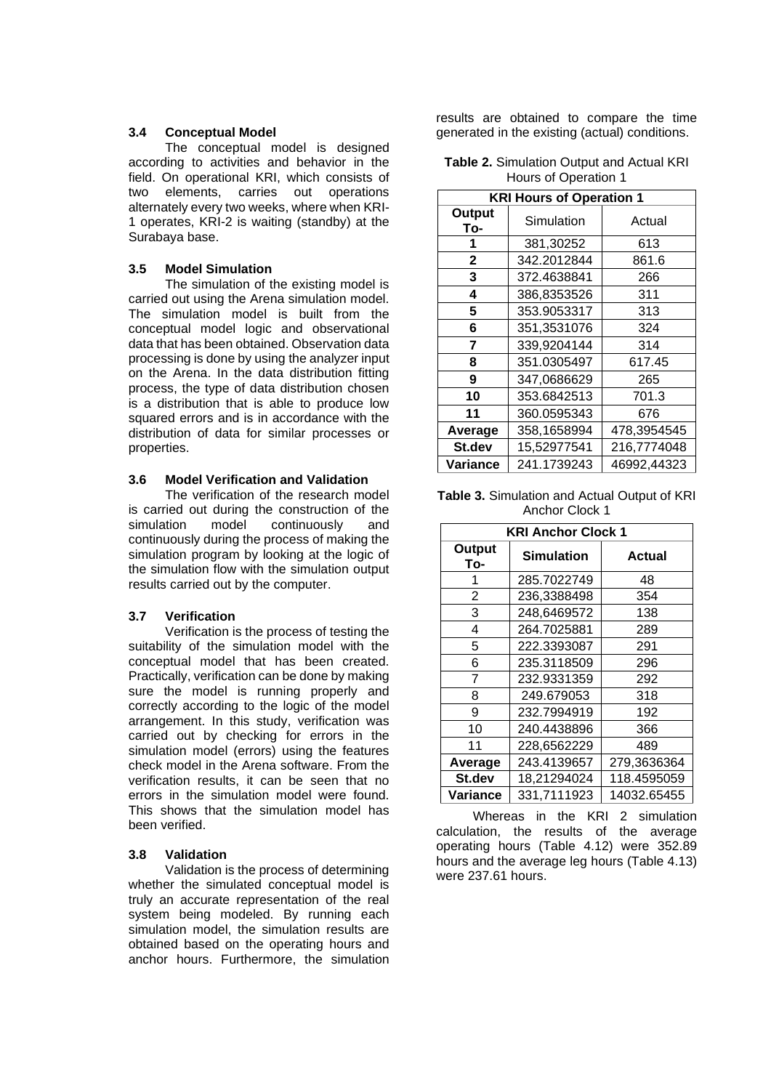#### **3.4 Conceptual Model**

The conceptual model is designed according to activities and behavior in the field. On operational KRI, which consists of two elements, carries out operations alternately every two weeks, where when KRI-1 operates, KRI-2 is waiting (standby) at the Surabaya base.

#### **3.5 Model Simulation**

The simulation of the existing model is carried out using the Arena simulation model. The simulation model is built from the conceptual model logic and observational data that has been obtained. Observation data processing is done by using the analyzer input on the Arena. In the data distribution fitting process, the type of data distribution chosen is a distribution that is able to produce low squared errors and is in accordance with the distribution of data for similar processes or properties.

#### **3.6 Model Verification and Validation**

The verification of the research model is carried out during the construction of the<br>simulation model continuously and continuously and continuously during the process of making the simulation program by looking at the logic of the simulation flow with the simulation output results carried out by the computer.

### **3.7 Verification**

Verification is the process of testing the suitability of the simulation model with the conceptual model that has been created. Practically, verification can be done by making sure the model is running properly and correctly according to the logic of the model arrangement. In this study, verification was carried out by checking for errors in the simulation model (errors) using the features check model in the Arena software. From the verification results, it can be seen that no errors in the simulation model were found. This shows that the simulation model has been verified.

#### **3.8 Validation**

Validation is the process of determining whether the simulated conceptual model is truly an accurate representation of the real system being modeled. By running each simulation model, the simulation results are obtained based on the operating hours and anchor hours. Furthermore, the simulation results are obtained to compare the time generated in the existing (actual) conditions.

**Table 2.** Simulation Output and Actual KRI Hours of Operation 1

| <b>KRI Hours of Operation 1</b> |             |             |  |
|---------------------------------|-------------|-------------|--|
| <b>Output</b><br>To-            | Simulation  | Actual      |  |
| 1                               | 381,30252   | 613         |  |
| $\mathbf{2}$                    | 342.2012844 | 861.6       |  |
| 3                               | 372.4638841 | 266         |  |
| 4                               | 386,8353526 | 311         |  |
| 5                               | 353.9053317 | 313         |  |
| 6                               | 351,3531076 | 324         |  |
| 7                               | 339,9204144 | 314         |  |
| 8                               | 351.0305497 | 617.45      |  |
| 9                               | 347,0686629 | 265         |  |
| 10                              | 353.6842513 | 701.3       |  |
| 11                              | 360.0595343 | 676         |  |
| Average                         | 358,1658994 | 478,3954545 |  |
| St.dev                          | 15,52977541 | 216,7774048 |  |
| Variance                        | 241.1739243 | 46992,44323 |  |

**Table 3.** Simulation and Actual Output of KRI Anchor Clock 1

| <b>KRI Anchor Clock 1</b> |                   |             |  |
|---------------------------|-------------------|-------------|--|
| Output<br>To-             | <b>Simulation</b> | Actual      |  |
| 1                         | 285.7022749       | 48          |  |
| $\overline{2}$            | 236,3388498       | 354         |  |
| 3                         | 248,6469572       | 138         |  |
| 4                         | 264.7025881       | 289         |  |
| 5                         | 222.3393087       | 291         |  |
| 6                         | 235.3118509       | 296         |  |
| 7                         | 232.9331359       | 292         |  |
| 8                         | 249.679053        | 318         |  |
| 9                         | 232.7994919       | 192         |  |
| 10                        | 240.4438896       | 366         |  |
| 11                        | 228,6562229       | 489         |  |
| Average                   | 243.4139657       | 279,3636364 |  |
| St.dev                    | 18,21294024       | 118.4595059 |  |
| Variance                  | 331,7111923       | 14032.65455 |  |

Whereas in the KRI 2 simulation calculation, the results of the average operating hours (Table 4.12) were 352.89 hours and the average leg hours (Table 4.13) were 237.61 hours.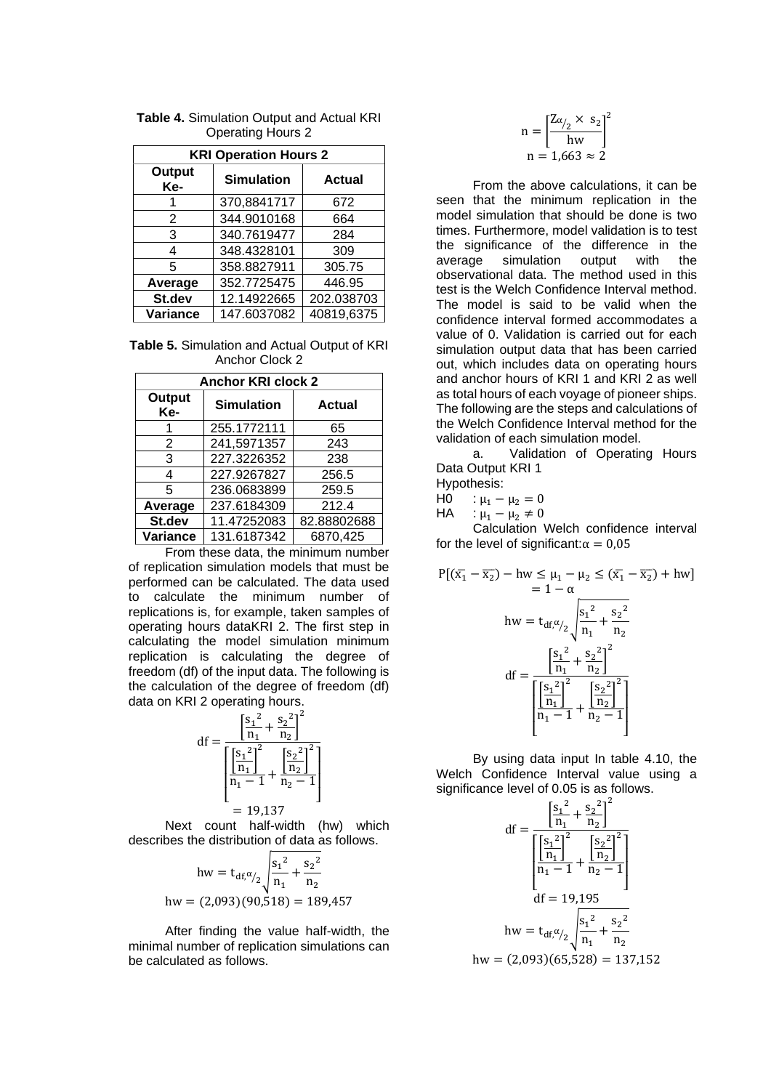| <b>KRI Operation Hours 2</b> |                   |            |  |
|------------------------------|-------------------|------------|--|
| <b>Output</b><br>Ke-         | <b>Simulation</b> | Actual     |  |
|                              | 370,8841717       | 672        |  |
| 2                            | 344.9010168       | 664        |  |
| 3                            | 340.7619477       | 284        |  |
| 4                            | 348.4328101       | 309        |  |
| 5                            | 358.8827911       | 305.75     |  |
| Average                      | 352.7725475       | 446.95     |  |
| St.dev                       | 12.14922665       | 202.038703 |  |
| Variance                     | 147.6037082       | 40819,6375 |  |

**Table 4.** Simulation Output and Actual KRI Operating Hours 2

**Table 5.** Simulation and Actual Output of KRI Anchor Clock 2

| <b>Anchor KRI clock 2</b> |                   |               |  |
|---------------------------|-------------------|---------------|--|
| Output<br>Ke-             | <b>Simulation</b> | <b>Actual</b> |  |
|                           | 255.1772111       | 65            |  |
| 2                         | 241,5971357       | 243           |  |
| 3                         | 227.3226352       | 238           |  |
| 4                         | 227.9267827       | 256.5         |  |
| 5                         | 236.0683899       | 259.5         |  |
| Average                   | 237.6184309       | 212.4         |  |
| St.dev                    | 11.47252083       | 82.88802688   |  |
| Variance                  | 131.6187342       | 6870,425      |  |

From these data, the minimum number of replication simulation models that must be performed can be calculated. The data used to calculate the minimum number of replications is, for example, taken samples of operating hours dataKRI 2. The first step in calculating the model simulation minimum replication is calculating the degree of freedom (df) of the input data. The following is the calculation of the degree of freedom (df) data on KRI 2 operating hours.



Next count half-width (hw) which describes the distribution of data as follows.

hw = 
$$
t_{df,\alpha/2}
$$
  $\sqrt{\frac{s_1^2}{n_1} + \frac{s_2^2}{n_2}}$   
hw = (2,093)(90,518) = 189,457

After finding the value half-width, the minimal number of replication simulations can be calculated as follows.

$$
n = \left[\frac{Z\alpha_{/2} \times s_2}{hw}\right]^2
$$
  
n = 1,663  $\approx$  2

From the above calculations, it can be seen that the minimum replication in the model simulation that should be done is two times. Furthermore, model validation is to test the significance of the difference in the average simulation output with the observational data. The method used in this test is the Welch Confidence Interval method. The model is said to be valid when the confidence interval formed accommodates a value of 0. Validation is carried out for each simulation output data that has been carried out, which includes data on operating hours and anchor hours of KRI 1 and KRI 2 as well as total hours of each voyage of pioneer ships. The following are the steps and calculations of the Welch Confidence Interval method for the validation of each simulation model.

a. Validation of Operating Hours Data Output KRI 1

Hypothesis:

H0 :  $\mu_1 - \mu_2 = 0$ 

HA :  $\mu_1 - \mu_2 \neq 0$ 

Calculation Welch confidence interval for the level of significant: $\alpha = 0.05$ 

$$
P[(\overline{x_1} - \overline{x_2}) - hw \le \mu_1 - \mu_2 \le (\overline{x_1} - \overline{x_2}) + hw]
$$
  
= 1 -  $\alpha$   
hw = t<sub>df</sub>,  $\alpha/2 \sqrt{\frac{s_1^2}{n_1} + \frac{s_2^2}{n_2}}$   

$$
df = \frac{\left[\frac{s_1^2}{n_1} + \frac{s_2^2}{n_2}\right]^2}{\left[\frac{\left[\frac{s_1^2}{n_1}\right]^2}{n_1 - 1} + \frac{\left[\frac{s_2^2}{n_2}\right]^2}{n_2 - 1}\right]}
$$

By using data input In table 4.10, the Welch Confidence Interval value using a significance level of 0.05 is as follows.

$$
df = \frac{\left[\frac{s_1^2}{n_1} + \frac{s_2^2}{n_2}\right]^2}{\left[\frac{\left[\frac{s_1^2}{n_1}\right]^2}{n_1 - 1} + \frac{\left[\frac{s_2^2}{n_2}\right]^2}{n_2 - 1}\right]}
$$
  
dt = 19,195  
hw = t<sub>df</sub>α<sub>/2</sub> $\sqrt{\frac{s_1^2}{n_1} + \frac{s_2^2}{n_2}}$   
hw = (2,093)(65,528) = 137,152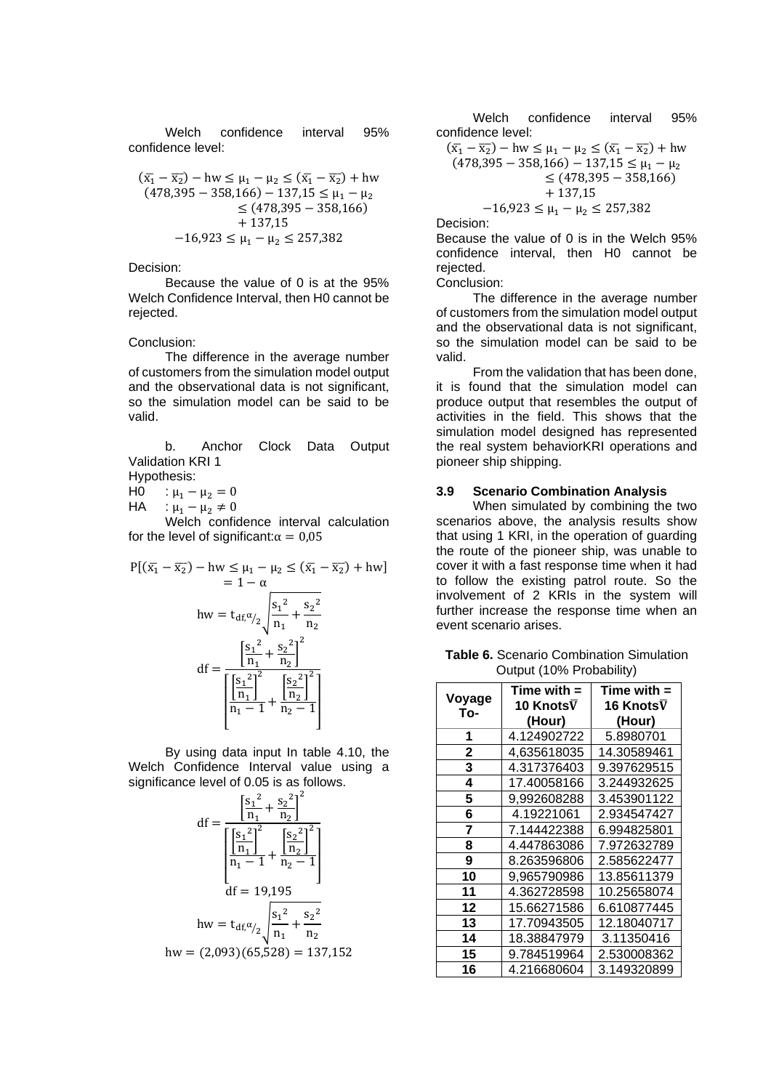Welch confidence interval 95% confidence level:

$$
(\overline{x_1} - \overline{x_2}) - hw \le \mu_1 - \mu_2 \le (\overline{x_1} - \overline{x_2}) + hw
$$
  
(478,395 - 358,166) - 137,15  $\le \mu_1 - \mu_2$   
 $\le$  (478,395 - 358,166)  
+ 137,15  
-16,923  $\le \mu_1 - \mu_2 \le$  257,382

Decision:

Because the value of 0 is at the 95% Welch Confidence Interval, then H0 cannot be rejected.

#### Conclusion:

The difference in the average number of customers from the simulation model output and the observational data is not significant, so the simulation model can be said to be valid.

b. Anchor Clock Data Output Validation KRI 1

Hypothesis:

H0 :  $\mu_1 - \mu_2 = 0$ 

 $HA$  :  $\mu_1 - \mu_2 \neq 0$ 

Welch confidence interval calculation for the level of significant: $\alpha = 0.05$ 

$$
P[(\bar{x}_1 - \bar{x}_2) - hw \le \mu_1 - \mu_2 \le (\bar{x}_1 - \bar{x}_2) + hw]
$$
  
= 1 -  $\alpha$   
hw = t<sub>df</sub>,  $\alpha/2 \sqrt{\frac{s_1^2}{n_1} + \frac{s_2^2}{n_2}}$   

$$
df = \frac{\left[\frac{s_1^2}{n_1} + \frac{s_2^2}{n_2}\right]^2}{\left[\frac{s_1^2}{n_1}\right]^2 + \frac{s_2^2}{n_2 - 1}}
$$

By using data input In table 4.10, the Welch Confidence Interval value using a significance level of 0.05 is as follows.



Welch confidence interval 95% confidence level:

$$
(\bar{x}_1 - \bar{x}_2) - hw \le \mu_1 - \mu_2 \le (\bar{x}_1 - \bar{x}_2) + hw
$$
  
(478,395 - 358,166) - 137,15  $\le \mu_1 - \mu_2$   
 $\le (478,395 - 358,166)$   
+ 137,15  
-16,923  $\le \mu_1 - \mu_2 \le 257,382$ 

Decision:

Because the value of 0 is in the Welch 95% confidence interval, then H0 cannot be rejected.

Conclusion:

The difference in the average number of customers from the simulation model output and the observational data is not significant, so the simulation model can be said to be valid.

From the validation that has been done, it is found that the simulation model can produce output that resembles the output of activities in the field. This shows that the simulation model designed has represented the real system behaviorKRI operations and pioneer ship shipping.

#### **3.9 Scenario Combination Analysis**

When simulated by combining the two scenarios above, the analysis results show that using 1 KRI, in the operation of guarding the route of the pioneer ship, was unable to cover it with a fast response time when it had to follow the existing patrol route. So the involvement of 2 KRIs in the system will further increase the response time when an event scenario arises.

**Table 6.** Scenario Combination Simulation Output (10% Probability)

| Voyage<br>To- | Time with $=$<br><b>10 KnotsV</b> | Time with $=$<br>16 KnotsV |
|---------------|-----------------------------------|----------------------------|
|               | (Hour)                            | (Hour)                     |
| 1             | 4.124902722                       | 5.8980701                  |
| 2             | 4,635618035                       | 14.30589461                |
| 3             | 4.317376403                       | 9.397629515                |
| 4             | 17.40058166                       | 3.244932625                |
| 5             | 9,992608288                       | 3.453901122                |
| 6             | 4.19221061                        | 2.934547427                |
| 7             | 7.144422388                       | 6.994825801                |
| 8             | 4.447863086                       | 7.972632789                |
| 9             | 8.263596806                       | 2.585622477                |
| 10            | 9,965790986                       | 13.85611379                |
| 11            | 4.362728598                       | 10.25658074                |
| 12            | 15.66271586                       | 6.610877445                |
| 13            | 17.70943505                       | 12.18040717                |
| 14            | 18.38847979                       | 3.11350416                 |
| 15            | 9.784519964                       | 2.530008362                |
| 16            | 4.216680604                       | 3.149320899                |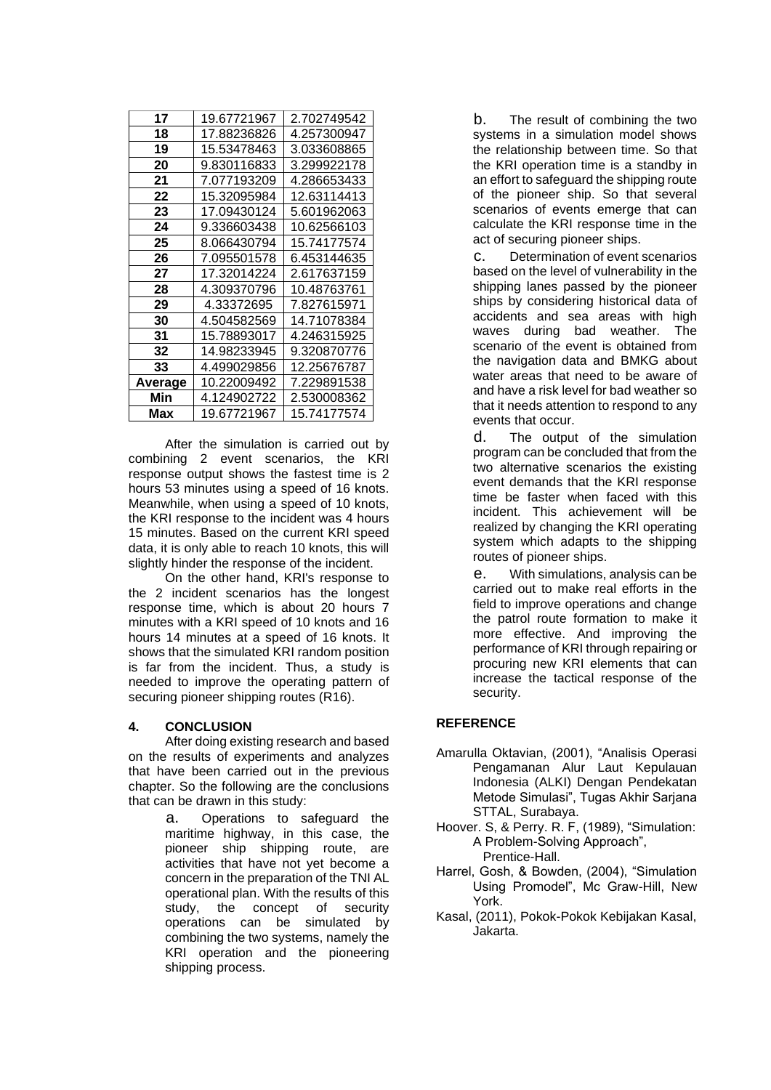| 19.67721967 | 2.702749542 |
|-------------|-------------|
| 17.88236826 | 4.257300947 |
| 15.53478463 | 3.033608865 |
| 9.830116833 | 3.299922178 |
| 7.077193209 | 4.286653433 |
| 15.32095984 | 12.63114413 |
| 17.09430124 | 5.601962063 |
| 9.336603438 | 10.62566103 |
| 8.066430794 | 15.74177574 |
| 7.095501578 | 6.453144635 |
| 17.32014224 | 2.617637159 |
| 4.309370796 | 10.48763761 |
| 4.33372695  | 7.827615971 |
| 4.504582569 | 14.71078384 |
| 15.78893017 | 4.246315925 |
| 14.98233945 | 9.320870776 |
| 4.499029856 | 12.25676787 |
| 10.22009492 | 7.229891538 |
| 4.124902722 | 2.530008362 |
| 19.67721967 | 15.74177574 |
|             |             |

After the simulation is carried out by combining 2 event scenarios, the KRI response output shows the fastest time is 2 hours 53 minutes using a speed of 16 knots. Meanwhile, when using a speed of 10 knots, the KRI response to the incident was 4 hours 15 minutes. Based on the current KRI speed data, it is only able to reach 10 knots, this will slightly hinder the response of the incident.

On the other hand, KRI's response to the 2 incident scenarios has the longest response time, which is about 20 hours 7 minutes with a KRI speed of 10 knots and 16 hours 14 minutes at a speed of 16 knots. It shows that the simulated KRI random position is far from the incident. Thus, a study is needed to improve the operating pattern of securing pioneer shipping routes (R16).

### **4. CONCLUSION**

After doing existing research and based on the results of experiments and analyzes that have been carried out in the previous chapter. So the following are the conclusions that can be drawn in this study:

> a. Operations to safeguard the maritime highway, in this case, the pioneer ship shipping route, are activities that have not yet become a concern in the preparation of the TNI AL operational plan. With the results of this study, the concept of security operations can be simulated by combining the two systems, namely the KRI operation and the pioneering shipping process.

b. The result of combining the two systems in a simulation model shows the relationship between time. So that the KRI operation time is a standby in an effort to safeguard the shipping route of the pioneer ship. So that several scenarios of events emerge that can calculate the KRI response time in the act of securing pioneer ships.

c. Determination of event scenarios based on the level of vulnerability in the shipping lanes passed by the pioneer ships by considering historical data of accidents and sea areas with high waves during bad weather. The scenario of the event is obtained from the navigation data and BMKG about water areas that need to be aware of and have a risk level for bad weather so that it needs attention to respond to any events that occur.

d. The output of the simulation program can be concluded that from the two alternative scenarios the existing event demands that the KRI response time be faster when faced with this incident. This achievement will be realized by changing the KRI operating system which adapts to the shipping routes of pioneer ships.

e. With simulations, analysis can be carried out to make real efforts in the field to improve operations and change the patrol route formation to make it more effective. And improving the performance of KRI through repairing or procuring new KRI elements that can increase the tactical response of the security.

### **REFERENCE**

- Amarulla Oktavian, (2001), "Analisis Operasi Pengamanan Alur Laut Kepulauan Indonesia (ALKI) Dengan Pendekatan Metode Simulasi", Tugas Akhir Sarjana STTAL, Surabaya.
- Hoover. S, & Perry. R. F, (1989), "Simulation: A Problem-Solving Approach", Prentice-Hall.
- Harrel, Gosh, & Bowden, (2004), "Simulation Using Promodel", Mc Graw-Hill, New York.
- Kasal, (2011), Pokok-Pokok Kebijakan Kasal, Jakarta.